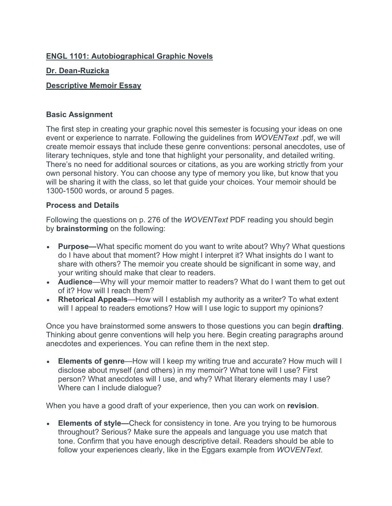## **ENGL 1101: Autobiographical Graphic Novels**

#### **Dr. Dean-Ruzicka**

### **Descriptive Memoir Essay**

#### **Basic Assignment**

The first step in creating your graphic novel this semester is focusing your ideas on one event or experience to narrate. Following the guidelines from *WOVENText* .pdf, we will create memoir essays that include these genre conventions: personal anecdotes, use of literary techniques, style and tone that highlight your personality, and detailed writing. There's no need for additional sources or citations, as you are working strictly from your own personal history. You can choose any type of memory you like, but know that you will be sharing it with the class, so let that guide your choices. Your memoir should be 1300-1500 words, or around 5 pages.

#### **Process and Details**

Following the questions on p. 276 of the *WOVENText* PDF reading you should begin by **brainstorming** on the following:

- **Purpose—**What specific moment do you want to write about? Why? What questions do I have about that moment? How might I interpret it? What insights do I want to share with others? The memoir you create should be significant in some way, and your writing should make that clear to readers.
- **Audience**—Why will your memoir matter to readers? What do I want them to get out of it? How will I reach them?
- **Rhetorical Appeals**—How will I establish my authority as a writer? To what extent will I appeal to readers emotions? How will I use logic to support my opinions?

Once you have brainstormed some answers to those questions you can begin **drafting**. Thinking about genre conventions will help you here. Begin creating paragraphs around anecdotes and experiences. You can refine them in the next step.

• **Elements of genre**—How will I keep my writing true and accurate? How much will I disclose about myself (and others) in my memoir? What tone will I use? First person? What anecdotes will I use, and why? What literary elements may I use? Where can I include dialogue?

When you have a good draft of your experience, then you can work on **revision**.

**Elements of style—Check for consistency in tone. Are you trying to be humorous** throughout? Serious? Make sure the appeals and language you use match that tone. Confirm that you have enough descriptive detail. Readers should be able to follow your experiences clearly, like in the Eggars example from *WOVENText*.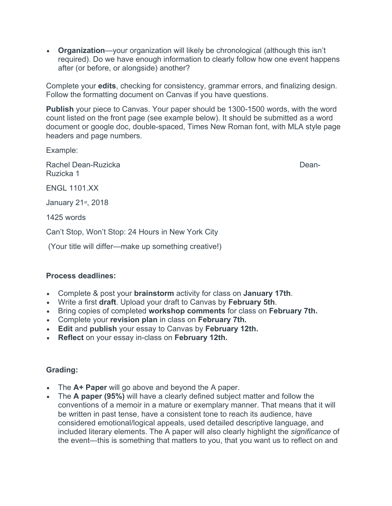• **Organization**—your organization will likely be chronological (although this isn't required). Do we have enough information to clearly follow how one event happens after (or before, or alongside) another?

Complete your **edits**, checking for consistency, grammar errors, and finalizing design. Follow the formatting document on Canvas if you have questions.

**Publish** your piece to Canvas. Your paper should be 1300-1500 words, with the word count listed on the front page (see example below). It should be submitted as a word document or google doc, double-spaced, Times New Roman font, with MLA style page headers and page numbers.

Example:

Rachel Dean-Ruzicka **Dean-Ruzicka** Dean-Ruzicka 1

**ENGL 1101 XX** 

January 21<sup>st</sup>, 2018

1425 words

Can't Stop, Won't Stop: 24 Hours in New York City

(Your title will differ—make up something creative!)

#### **Process deadlines:**

- Complete & post your **brainstorm** activity for class on **January 17th**.
- Write a first **draft**. Upload your draft to Canvas by **February 5th**.
- Bring copies of completed **workshop comments** for class on **February 7th.**
- Complete your **revision plan** in class on **February 7th.**
- **Edit** and **publish** your essay to Canvas by **February 12th.**
- **Reflect** on your essay in-class on **February 12th.**

# **Grading:**

- The **A+ Paper** will go above and beyond the A paper.
- The **A paper (95%)** will have a clearly defined subject matter and follow the conventions of a memoir in a mature or exemplary manner. That means that it will be written in past tense, have a consistent tone to reach its audience, have considered emotional/logical appeals, used detailed descriptive language, and included literary elements. The A paper will also clearly highlight the *significance* of the event—this is something that matters to you, that you want us to reflect on and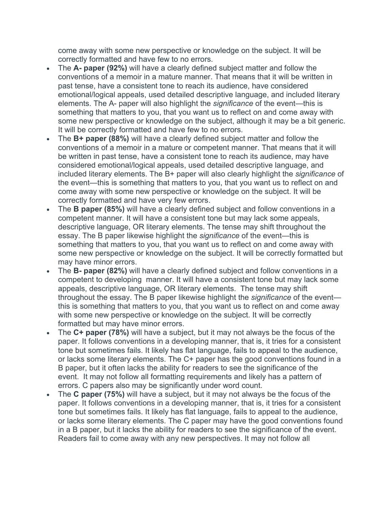come away with some new perspective or knowledge on the subject. It will be correctly formatted and have few to no errors.

- The **A- paper (92%)** will have a clearly defined subject matter and follow the conventions of a memoir in a mature manner. That means that it will be written in past tense, have a consistent tone to reach its audience, have considered emotional/logical appeals, used detailed descriptive language, and included literary elements. The A- paper will also highlight the *significance* of the event—this is something that matters to you, that you want us to reflect on and come away with some new perspective or knowledge on the subject, although it may be a bit generic. It will be correctly formatted and have few to no errors.
- The **B+ paper (88%)** will have a clearly defined subject matter and follow the conventions of a memoir in a mature or competent manner. That means that it will be written in past tense, have a consistent tone to reach its audience, may have considered emotional/logical appeals, used detailed descriptive language, and included literary elements. The B+ paper will also clearly highlight the *significance* of the event—this is something that matters to you, that you want us to reflect on and come away with some new perspective or knowledge on the subject. It will be correctly formatted and have very few errors.
- The **B paper (85%)** will have a clearly defined subject and follow conventions in a competent manner. It will have a consistent tone but may lack some appeals, descriptive language, OR literary elements. The tense may shift throughout the essay. The B paper likewise highlight the *significance* of the event—this is something that matters to you, that you want us to reflect on and come away with some new perspective or knowledge on the subject. It will be correctly formatted but may have minor errors.
- The **B- paper (82%)** will have a clearly defined subject and follow conventions in a competent to developing manner. It will have a consistent tone but may lack some appeals, descriptive language, OR literary elements. The tense may shift throughout the essay. The B paper likewise highlight the *significance* of the event this is something that matters to you, that you want us to reflect on and come away with some new perspective or knowledge on the subject. It will be correctly formatted but may have minor errors.
- The **C+ paper (78%)** will have a subject, but it may not always be the focus of the paper. It follows conventions in a developing manner, that is, it tries for a consistent tone but sometimes fails. It likely has flat language, fails to appeal to the audience, or lacks some literary elements. The C+ paper has the good conventions found in a B paper, but it often lacks the ability for readers to see the significance of the event. It may not follow all formatting requirements and likely has a pattern of errors. C papers also may be significantly under word count.
- The **C paper (75%)** will have a subject, but it may not always be the focus of the paper. It follows conventions in a developing manner, that is, it tries for a consistent tone but sometimes fails. It likely has flat language, fails to appeal to the audience, or lacks some literary elements. The C paper may have the good conventions found in a B paper, but it lacks the ability for readers to see the significance of the event. Readers fail to come away with any new perspectives. It may not follow all